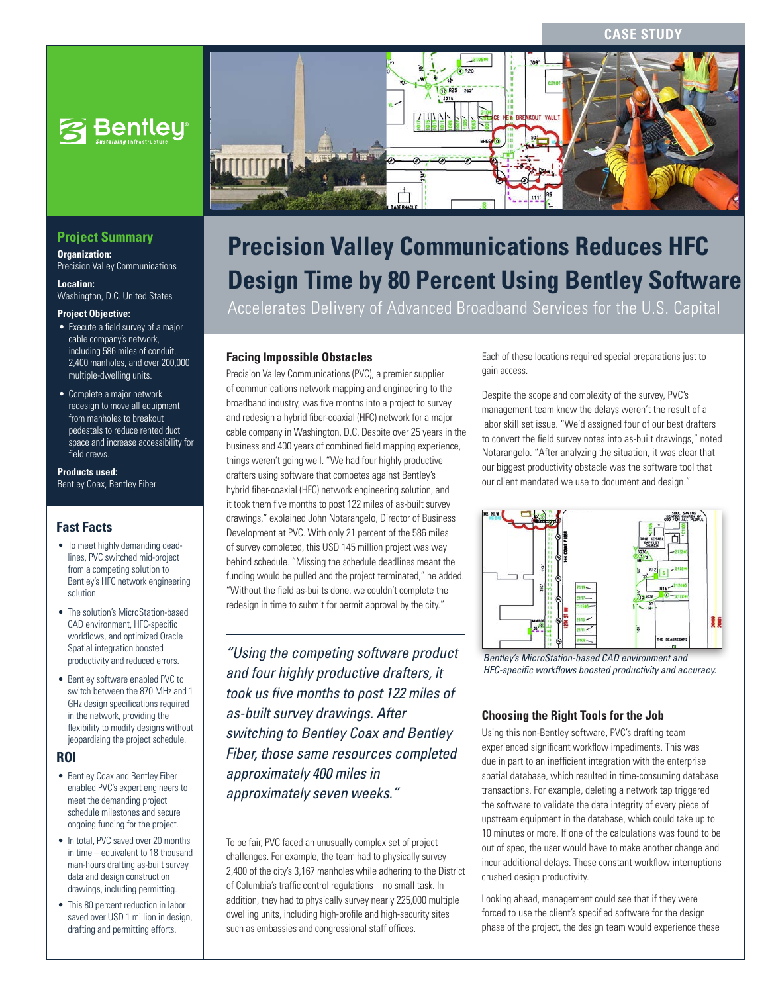### **CASE STUDY**



## **Project Summary**

**Organization:**  Precision Valley Communications

**Location:**  Washington, D.C. United States

#### **Project Objective:**

- Execute a field survey of a major cable company's network, including 586 miles of conduit, 2,400 manholes, and over 200,000 multiple-dwelling units.
- Complete a major network redesign to move all equipment from manholes to breakout pedestals to reduce rented duct space and increase accessibility for field crews.

### **Products used:**

Bentley Coax, Bentley Fiber

## **Fast Facts**

- To meet highly demanding deadlines, PVC switched mid-project from a competing solution to Bentley's HFC network engineering solution.
- The solution's MicroStation-based CAD environment, HFC-specific workflows, and optimized Oracle Spatial integration boosted productivity and reduced errors.
- Bentley software enabled PVC to switch between the 870 MHz and 1 GHz design specifications required in the network, providing the flexibility to modify designs without jeopardizing the project schedule.

### **ROI**

- Bentley Coax and Bentley Fiber enabled PVC's expert engineers to meet the demanding project schedule milestones and secure ongoing funding for the project.
- In total, PVC saved over 20 months in time – equivalent to 18 thousand man-hours drafting as-built survey data and design construction drawings, including permitting.
- This 80 percent reduction in labor saved over USD 1 million in design, drafting and permitting efforts.



# **Precision Valley Communications Reduces HFC Design Time by 80 Percent Using Bentley Software**

Accelerates Delivery of Advanced Broadband Services for the U.S. Capital

### **Facing Impossible Obstacles**

Precision Valley Communications (PVC), a premier supplier of communications network mapping and engineering to the broadband industry, was five months into a project to survey and redesign a hybrid fiber-coaxial (HFC) network for a major cable company in Washington, D.C. Despite over 25 years in the business and 400 years of combined field mapping experience, things weren't going well. "We had four highly productive drafters using software that competes against Bentley's hybrid fiber-coaxial (HFC) network engineering solution, and it took them five months to post 122 miles of as-built survey drawings," explained John Notarangelo, Director of Business Development at PVC. With only 21 percent of the 586 miles of survey completed, this USD 145 million project was way behind schedule. "Missing the schedule deadlines meant the funding would be pulled and the project terminated," he added. "Without the field as-builts done, we couldn't complete the redesign in time to submit for permit approval by the city."

*"Using the competing software product and four highly productive drafters, it took us five months to post 122 miles of as-built survey drawings. After switching to Bentley Coax and Bentley Fiber, those same resources completed approximately 400 miles in approximately seven weeks."*

To be fair, PVC faced an unusually complex set of project challenges. For example, the team had to physically survey 2,400 of the city's 3,167 manholes while adhering to the District of Columbia's traffic control regulations – no small task. In addition, they had to physically survey nearly 225,000 multiple dwelling units, including high-profile and high-security sites such as embassies and congressional staff offices.

Each of these locations required special preparations just to gain access.

Despite the scope and complexity of the survey, PVC's management team knew the delays weren't the result of a labor skill set issue. "We'd assigned four of our best drafters to convert the field survey notes into as-built drawings," noted Notarangelo. "After analyzing the situation, it was clear that our biggest productivity obstacle was the software tool that our client mandated we use to document and design."



*Bentley's MicroStation-based CAD environment and HFC-specific workflows boosted productivity and accuracy.*

### **Choosing the Right Tools for the Job**

Using this non-Bentley software, PVC's drafting team experienced significant workflow impediments. This was due in part to an inefficient integration with the enterprise spatial database, which resulted in time-consuming database transactions. For example, deleting a network tap triggered the software to validate the data integrity of every piece of upstream equipment in the database, which could take up to 10 minutes or more. If one of the calculations was found to be out of spec, the user would have to make another change and incur additional delays. These constant workflow interruptions crushed design productivity.

Looking ahead, management could see that if they were forced to use the client's specified software for the design phase of the project, the design team would experience these